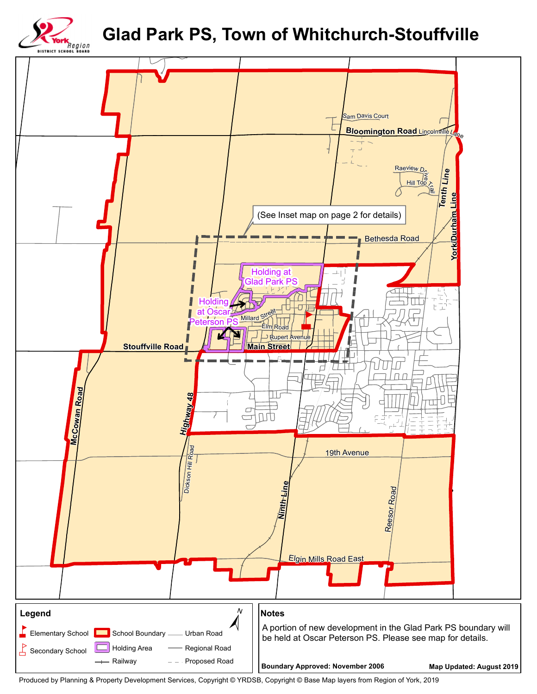## **Glad Park PS, Town of Whitchurch-Stouffville**





Produced by Planning & Property Development Services, Copyright © YRDSB, Copyright © Base Map layers from Region of York, 2019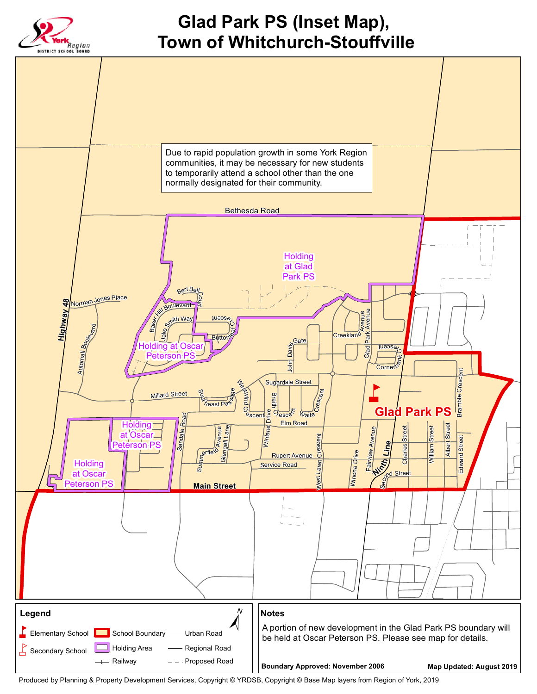

Produced by Planning & Property Development Services, Copyright © YRDSB, Copyright © Base Map layers from Region of York, 2019